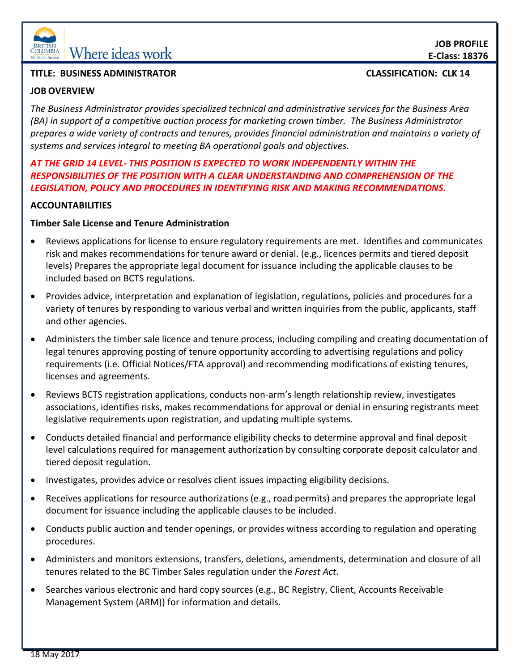

# **EDENTIFY MARY MARIE IN SCRUMBLA**

#### **TITLE: BUSINESS ADMINISTRATOR CLASSIFICATION: CLK 14**

## **JOB OVERVIEW**

*The Business Administrator provides specialized technical and administrative services for the Business Area (BA) in support of a competitive auction process for marketing crown timber. The Business Administrator prepares a wide variety of contracts and tenures, provides financial administration and maintains a variety of systems and services integral to meeting BA operational goals and objectives.* 

## *AT THE GRID 14 LEVEL- THIS POSITION IS EXPECTED TO WORK INDEPENDENTLY WITHIN THE RESPONSIBILITIES OF THE POSITION WITH A CLEAR UNDERSTANDING AND COMPREHENSION OF THE LEGISLATION, POLICY AND PROCEDURES IN IDENTIFYING RISK AND MAKING RECOMMENDATIONS.*

## **ACCOUNTABILITIES**

#### **Timber Sale License and Tenure Administration**

- Reviews applications for license to ensure regulatory requirements are met. Identifies and communicates risk and makes recommendations for tenure award or denial. (e.g., licences permits and tiered deposit levels) Prepares the appropriate legal document for issuance including the applicable clauses to be included based on BCTS regulations.
- Provides advice, interpretation and explanation of legislation, regulations, policies and procedures for a variety of tenures by responding to various verbal and written inquiries from the public, applicants, staff and other agencies.
- Administers the timber sale licence and tenure process, including compiling and creating documentation of legal tenures approving posting of tenure opportunity according to advertising regulations and policy requirements (i.e. Official Notices/FTA approval) and recommending modifications of existing tenures, licenses and agreements.
- Reviews BCTS registration applications, conducts non-arm's length relationship review, investigates associations, identifies risks, makes recommendations for approval or denial in ensuring registrants meet legislative requirements upon registration, and updating multiple systems.
- Conducts detailed financial and performance eligibility checks to determine approval and final deposit level calculations required for management authorization by consulting corporate deposit calculator and tiered deposit regulation.
- Investigates, provides advice or resolves client issues impacting eligibility decisions.
- Receives applications for resource authorizations (e.g., road permits) and prepares the appropriate legal document for issuance including the applicable clauses to be included.
- Conducts public auction and tender openings, or provides witness according to regulation and operating procedures.
- Administers and monitors extensions, transfers, deletions, amendments, determination and closure of all tenures related to the BC Timber Sales regulation under the *Forest Act*.
- Searches various electronic and hard copy sources (e.g., BC Registry, Client, Accounts Receivable Management System (ARM)) for information and details.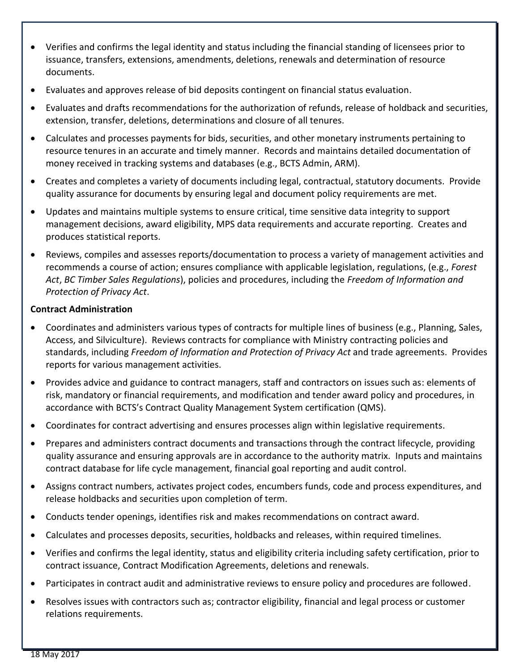- Verifies and confirms the legal identity and status including the financial standing of licensees prior to issuance, transfers, extensions, amendments, deletions, renewals and determination of resource documents.
- Evaluates and approves release of bid deposits contingent on financial status evaluation.
- Evaluates and drafts recommendations for the authorization of refunds, release of holdback and securities, extension, transfer, deletions, determinations and closure of all tenures.
- Calculates and processes payments for bids, securities, and other monetary instruments pertaining to resource tenures in an accurate and timely manner. Records and maintains detailed documentation of money received in tracking systems and databases (e.g., BCTS Admin, ARM).
- Creates and completes a variety of documents including legal, contractual, statutory documents. Provide quality assurance for documents by ensuring legal and document policy requirements are met.
- Updates and maintains multiple systems to ensure critical, time sensitive data integrity to support management decisions, award eligibility, MPS data requirements and accurate reporting. Creates and produces statistical reports.
- Reviews, compiles and assesses reports/documentation to process a variety of management activities and recommends a course of action; ensures compliance with applicable legislation, regulations, (e.g., *Forest Act*, *BC Timber Sales Regulations*), policies and procedures, including the *Freedom of Information and Protection of Privacy Act*.

## **Contract Administration**

- Coordinates and administers various types of contracts for multiple lines of business (e.g., Planning, Sales, Access, and Silviculture). Reviews contracts for compliance with Ministry contracting policies and standards, including *Freedom of Information and Protection of Privacy Act* and trade agreements. Provides reports for various management activities.
- Provides advice and guidance to contract managers, staff and contractors on issues such as: elements of risk, mandatory or financial requirements, and modification and tender award policy and procedures, in accordance with BCTS's Contract Quality Management System certification (QMS).
- Coordinates for contract advertising and ensures processes align within legislative requirements.
- Prepares and administers contract documents and transactions through the contract lifecycle, providing quality assurance and ensuring approvals are in accordance to the authority matrix. Inputs and maintains contract database for life cycle management, financial goal reporting and audit control.
- Assigns contract numbers, activates project codes, encumbers funds, code and process expenditures, and release holdbacks and securities upon completion of term.
- Conducts tender openings, identifies risk and makes recommendations on contract award.
- Calculates and processes deposits, securities, holdbacks and releases, within required timelines.
- Verifies and confirms the legal identity, status and eligibility criteria including safety certification, prior to contract issuance, Contract Modification Agreements, deletions and renewals.
- Participates in contract audit and administrative reviews to ensure policy and procedures are followed.
- Resolves issues with contractors such as; contractor eligibility, financial and legal process or customer relations requirements.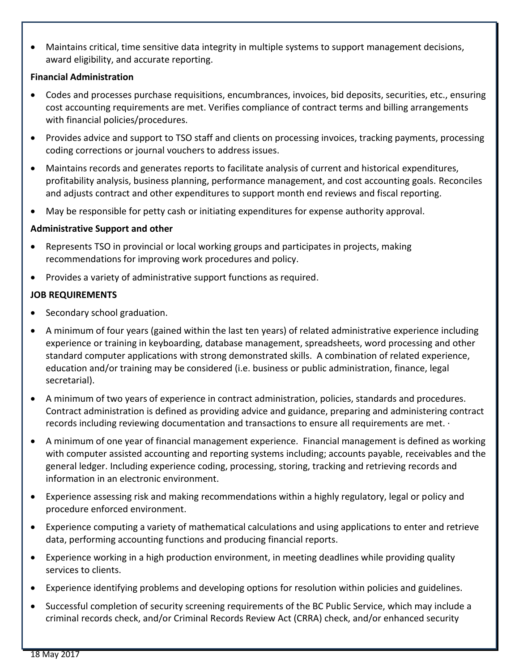Maintains critical, time sensitive data integrity in multiple systems to support management decisions, award eligibility, and accurate reporting.

## **Financial Administration**

- Codes and processes purchase requisitions, encumbrances, invoices, bid deposits, securities, etc., ensuring cost accounting requirements are met. Verifies compliance of contract terms and billing arrangements with financial policies/procedures.
- Provides advice and support to TSO staff and clients on processing invoices, tracking payments, processing coding corrections or journal vouchers to address issues.
- Maintains records and generates reports to facilitate analysis of current and historical expenditures, profitability analysis, business planning, performance management, and cost accounting goals. Reconciles and adjusts contract and other expenditures to support month end reviews and fiscal reporting.
- May be responsible for petty cash or initiating expenditures for expense authority approval.

## **Administrative Support and other**

- Represents TSO in provincial or local working groups and participates in projects, making recommendations for improving work procedures and policy.
- Provides a variety of administrative support functions as required.

## **JOB REQUIREMENTS**

- Secondary school graduation.
- A minimum of four years (gained within the last ten years) of related administrative experience including experience or training in keyboarding, database management, spreadsheets, word processing and other standard computer applications with strong demonstrated skills. A combination of related experience, education and/or training may be considered (i.e. business or public administration, finance, legal secretarial).
- A minimum of two years of experience in contract administration, policies, standards and procedures. Contract administration is defined as providing advice and guidance, preparing and administering contract records including reviewing documentation and transactions to ensure all requirements are met. ·
- A minimum of one year of financial management experience. Financial management is defined as working with computer assisted accounting and reporting systems including; accounts payable, receivables and the general ledger. Including experience coding, processing, storing, tracking and retrieving records and information in an electronic environment.
- Experience assessing risk and making recommendations within a highly regulatory, legal or policy and procedure enforced environment.
- Experience computing a variety of mathematical calculations and using applications to enter and retrieve data, performing accounting functions and producing financial reports.
- Experience working in a high production environment, in meeting deadlines while providing quality services to clients.
- Experience identifying problems and developing options for resolution within policies and guidelines.
- Successful completion of security screening requirements of the BC Public Service, which may include a criminal records check, and/or Criminal Records Review Act (CRRA) check, and/or enhanced security